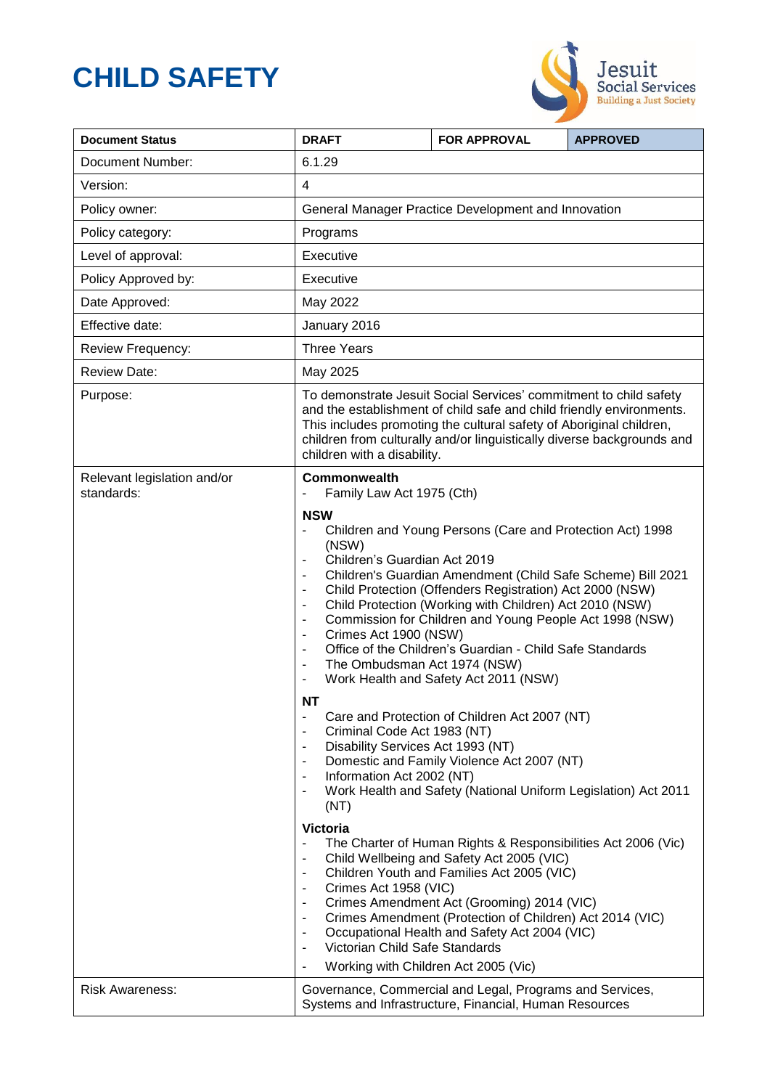# **CHILD SAFETY**



| <b>Document Status</b>                    | <b>DRAFT</b>                                                                                                                                                                                                                                                                                                                                                                                                                                                                                                                                                                                                                                                                                                                                                                                                                                                                                                                                                                                                                                                                                                                                                                                                                                                                                                                                                                                                                                                                                                                                                                                                                                                                                                                                                                                                                                                            | <b>FOR APPROVAL</b> | <b>APPROVED</b> |
|-------------------------------------------|-------------------------------------------------------------------------------------------------------------------------------------------------------------------------------------------------------------------------------------------------------------------------------------------------------------------------------------------------------------------------------------------------------------------------------------------------------------------------------------------------------------------------------------------------------------------------------------------------------------------------------------------------------------------------------------------------------------------------------------------------------------------------------------------------------------------------------------------------------------------------------------------------------------------------------------------------------------------------------------------------------------------------------------------------------------------------------------------------------------------------------------------------------------------------------------------------------------------------------------------------------------------------------------------------------------------------------------------------------------------------------------------------------------------------------------------------------------------------------------------------------------------------------------------------------------------------------------------------------------------------------------------------------------------------------------------------------------------------------------------------------------------------------------------------------------------------------------------------------------------------|---------------------|-----------------|
| <b>Document Number:</b>                   | 6.1.29                                                                                                                                                                                                                                                                                                                                                                                                                                                                                                                                                                                                                                                                                                                                                                                                                                                                                                                                                                                                                                                                                                                                                                                                                                                                                                                                                                                                                                                                                                                                                                                                                                                                                                                                                                                                                                                                  |                     |                 |
| Version:                                  | $\overline{4}$                                                                                                                                                                                                                                                                                                                                                                                                                                                                                                                                                                                                                                                                                                                                                                                                                                                                                                                                                                                                                                                                                                                                                                                                                                                                                                                                                                                                                                                                                                                                                                                                                                                                                                                                                                                                                                                          |                     |                 |
| Policy owner:                             | General Manager Practice Development and Innovation                                                                                                                                                                                                                                                                                                                                                                                                                                                                                                                                                                                                                                                                                                                                                                                                                                                                                                                                                                                                                                                                                                                                                                                                                                                                                                                                                                                                                                                                                                                                                                                                                                                                                                                                                                                                                     |                     |                 |
| Policy category:                          | Programs                                                                                                                                                                                                                                                                                                                                                                                                                                                                                                                                                                                                                                                                                                                                                                                                                                                                                                                                                                                                                                                                                                                                                                                                                                                                                                                                                                                                                                                                                                                                                                                                                                                                                                                                                                                                                                                                |                     |                 |
| Level of approval:                        | Executive                                                                                                                                                                                                                                                                                                                                                                                                                                                                                                                                                                                                                                                                                                                                                                                                                                                                                                                                                                                                                                                                                                                                                                                                                                                                                                                                                                                                                                                                                                                                                                                                                                                                                                                                                                                                                                                               |                     |                 |
| Policy Approved by:                       | Executive                                                                                                                                                                                                                                                                                                                                                                                                                                                                                                                                                                                                                                                                                                                                                                                                                                                                                                                                                                                                                                                                                                                                                                                                                                                                                                                                                                                                                                                                                                                                                                                                                                                                                                                                                                                                                                                               |                     |                 |
| Date Approved:                            | May 2022                                                                                                                                                                                                                                                                                                                                                                                                                                                                                                                                                                                                                                                                                                                                                                                                                                                                                                                                                                                                                                                                                                                                                                                                                                                                                                                                                                                                                                                                                                                                                                                                                                                                                                                                                                                                                                                                |                     |                 |
| Effective date:                           | January 2016                                                                                                                                                                                                                                                                                                                                                                                                                                                                                                                                                                                                                                                                                                                                                                                                                                                                                                                                                                                                                                                                                                                                                                                                                                                                                                                                                                                                                                                                                                                                                                                                                                                                                                                                                                                                                                                            |                     |                 |
| Review Frequency:                         | <b>Three Years</b>                                                                                                                                                                                                                                                                                                                                                                                                                                                                                                                                                                                                                                                                                                                                                                                                                                                                                                                                                                                                                                                                                                                                                                                                                                                                                                                                                                                                                                                                                                                                                                                                                                                                                                                                                                                                                                                      |                     |                 |
| <b>Review Date:</b>                       | May 2025                                                                                                                                                                                                                                                                                                                                                                                                                                                                                                                                                                                                                                                                                                                                                                                                                                                                                                                                                                                                                                                                                                                                                                                                                                                                                                                                                                                                                                                                                                                                                                                                                                                                                                                                                                                                                                                                |                     |                 |
| Purpose:                                  | To demonstrate Jesuit Social Services' commitment to child safety<br>and the establishment of child safe and child friendly environments.<br>This includes promoting the cultural safety of Aboriginal children,<br>children from culturally and/or linguistically diverse backgrounds and<br>children with a disability.                                                                                                                                                                                                                                                                                                                                                                                                                                                                                                                                                                                                                                                                                                                                                                                                                                                                                                                                                                                                                                                                                                                                                                                                                                                                                                                                                                                                                                                                                                                                               |                     |                 |
| Relevant legislation and/or<br>standards: | <b>Commonwealth</b><br>Family Law Act 1975 (Cth)<br>$\qquad \qquad \blacksquare$<br><b>NSW</b><br>Children and Young Persons (Care and Protection Act) 1998<br>$\blacksquare$<br>(NSW)<br>Children's Guardian Act 2019<br>$\overline{\phantom{a}}$<br>Children's Guardian Amendment (Child Safe Scheme) Bill 2021<br>$\overline{\phantom{a}}$<br>Child Protection (Offenders Registration) Act 2000 (NSW)<br>$\overline{\phantom{a}}$<br>Child Protection (Working with Children) Act 2010 (NSW)<br>$\overline{\phantom{a}}$<br>Commission for Children and Young People Act 1998 (NSW)<br>$\overline{\phantom{a}}$<br>Crimes Act 1900 (NSW)<br>$\overline{\phantom{a}}$<br>Office of the Children's Guardian - Child Safe Standards<br>$\blacksquare$<br>The Ombudsman Act 1974 (NSW)<br>$\blacksquare$<br>Work Health and Safety Act 2011 (NSW)<br>$\overline{\phantom{a}}$<br><b>NT</b><br>Care and Protection of Children Act 2007 (NT)<br>$\blacksquare$<br>Criminal Code Act 1983 (NT)<br>$\overline{\phantom{a}}$<br>Disability Services Act 1993 (NT)<br>Domestic and Family Violence Act 2007 (NT)<br>$\blacksquare$<br>Information Act 2002 (NT)<br>$\overline{\phantom{a}}$<br>Work Health and Safety (National Uniform Legislation) Act 2011<br>(NT)<br><b>Victoria</b><br>The Charter of Human Rights & Responsibilities Act 2006 (Vic)<br>$\blacksquare$<br>Child Wellbeing and Safety Act 2005 (VIC)<br>$\overline{\phantom{a}}$<br>Children Youth and Families Act 2005 (VIC)<br>$\overline{\phantom{a}}$<br>Crimes Act 1958 (VIC)<br>$\overline{\phantom{a}}$<br>Crimes Amendment Act (Grooming) 2014 (VIC)<br>$\blacksquare$<br>Crimes Amendment (Protection of Children) Act 2014 (VIC)<br>$\overline{\phantom{a}}$<br>Occupational Health and Safety Act 2004 (VIC)<br>$\overline{\phantom{a}}$<br>Victorian Child Safe Standards<br>$\blacksquare$ |                     |                 |
| <b>Risk Awareness:</b>                    | Governance, Commercial and Legal, Programs and Services,<br>Systems and Infrastructure, Financial, Human Resources                                                                                                                                                                                                                                                                                                                                                                                                                                                                                                                                                                                                                                                                                                                                                                                                                                                                                                                                                                                                                                                                                                                                                                                                                                                                                                                                                                                                                                                                                                                                                                                                                                                                                                                                                      |                     |                 |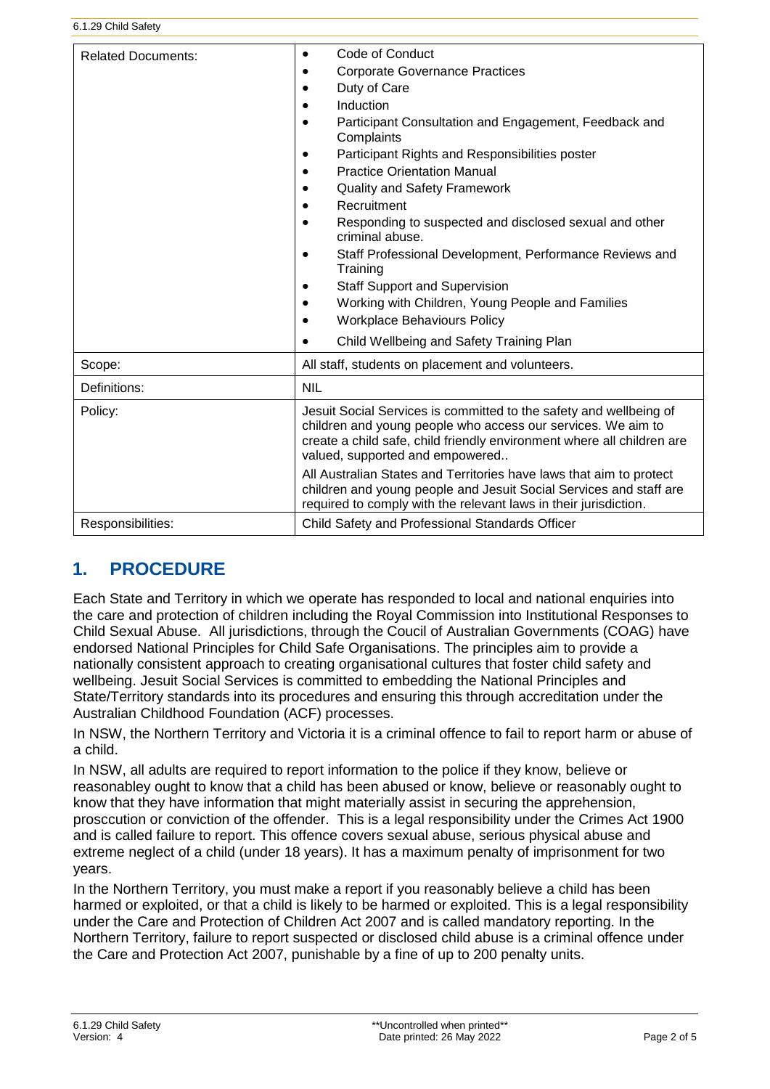| <b>Related Documents:</b> | Code of Conduct<br>$\bullet$<br><b>Corporate Governance Practices</b><br>Duty of Care<br>$\bullet$<br>Induction<br>Participant Consultation and Engagement, Feedback and<br>$\bullet$<br>Complaints<br>Participant Rights and Responsibilities poster<br>٠<br><b>Practice Orientation Manual</b><br><b>Quality and Safety Framework</b><br>$\bullet$<br>Recruitment<br>Responding to suspected and disclosed sexual and other<br>criminal abuse.<br>Staff Professional Development, Performance Reviews and<br>$\bullet$<br>Training<br><b>Staff Support and Supervision</b><br>Working with Children, Young People and Families<br><b>Workplace Behaviours Policy</b><br>$\bullet$<br>Child Wellbeing and Safety Training Plan<br>$\bullet$ |  |  |
|---------------------------|----------------------------------------------------------------------------------------------------------------------------------------------------------------------------------------------------------------------------------------------------------------------------------------------------------------------------------------------------------------------------------------------------------------------------------------------------------------------------------------------------------------------------------------------------------------------------------------------------------------------------------------------------------------------------------------------------------------------------------------------|--|--|
| Scope:                    | All staff, students on placement and volunteers.                                                                                                                                                                                                                                                                                                                                                                                                                                                                                                                                                                                                                                                                                             |  |  |
| Definitions:              | <b>NIL</b>                                                                                                                                                                                                                                                                                                                                                                                                                                                                                                                                                                                                                                                                                                                                   |  |  |
| Policy:                   | Jesuit Social Services is committed to the safety and wellbeing of<br>children and young people who access our services. We aim to<br>create a child safe, child friendly environment where all children are<br>valued, supported and empowered<br>All Australian States and Territories have laws that aim to protect<br>children and young people and Jesuit Social Services and staff are<br>required to comply with the relevant laws in their jurisdiction.                                                                                                                                                                                                                                                                             |  |  |
| Responsibilities:         | Child Safety and Professional Standards Officer                                                                                                                                                                                                                                                                                                                                                                                                                                                                                                                                                                                                                                                                                              |  |  |

# **1. PROCEDURE**

Each State and Territory in which we operate has responded to local and national enquiries into the care and protection of children including the Royal Commission into Institutional Responses to Child Sexual Abuse. All jurisdictions, through the Coucil of Australian Governments (COAG) have endorsed National Principles for Child Safe Organisations. The principles aim to provide a nationally consistent approach to creating organisational cultures that foster child safety and wellbeing. Jesuit Social Services is committed to embedding the National Principles and State/Territory standards into its procedures and ensuring this through accreditation under the Australian Childhood Foundation (ACF) processes.

In NSW, the Northern Territory and Victoria it is a criminal offence to fail to report harm or abuse of a child.

In NSW, all adults are required to report information to the police if they know, believe or reasonabley ought to know that a child has been abused or know, believe or reasonably ought to know that they have information that might materially assist in securing the apprehension, prosccution or conviction of the offender. This is a legal responsibility under the Crimes Act 1900 and is called failure to report. This offence covers sexual abuse, serious physical abuse and extreme neglect of a child (under 18 years). It has a maximum penalty of imprisonment for two years.

In the Northern Territory, you must make a report if you reasonably believe a child has been harmed or exploited, or that a child is likely to be harmed or exploited. This is a legal responsibility under the Care and Protection of Children Act 2007 and is called mandatory reporting. In the Northern Territory, failure to report suspected or disclosed child abuse is a criminal offence under the Care and Protection Act 2007, punishable by a fine of up to 200 penalty units.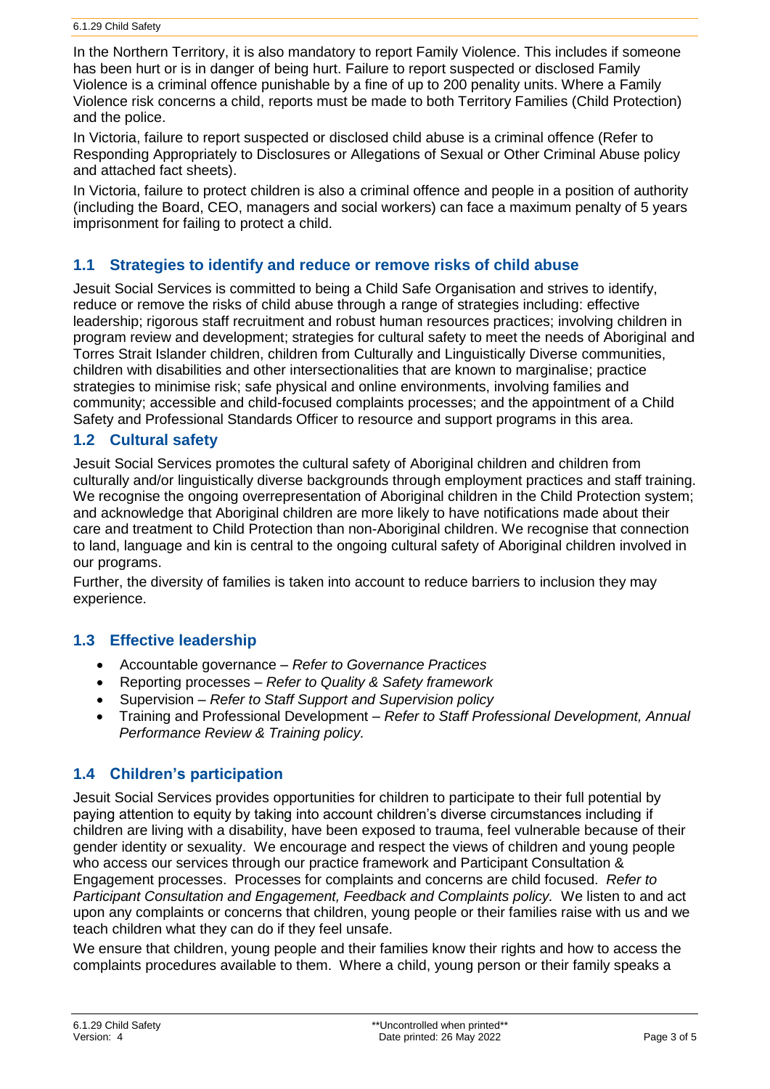In the Northern Territory, it is also mandatory to report Family Violence. This includes if someone has been hurt or is in danger of being hurt. Failure to report suspected or disclosed Family Violence is a criminal offence punishable by a fine of up to 200 penality units. Where a Family Violence risk concerns a child, reports must be made to both Territory Families (Child Protection) and the police.

In Victoria, failure to report suspected or disclosed child abuse is a criminal offence (Refer to Responding Appropriately to Disclosures or Allegations of Sexual or Other Criminal Abuse policy and attached fact sheets).

In Victoria, failure to protect children is also a criminal offence and people in a position of authority (including the Board, CEO, managers and social workers) can face a maximum penalty of 5 years imprisonment for failing to protect a child.

### **1.1 Strategies to identify and reduce or remove risks of child abuse**

Jesuit Social Services is committed to being a Child Safe Organisation and strives to identify, reduce or remove the risks of child abuse through a range of strategies including: effective leadership; rigorous staff recruitment and robust human resources practices; involving children in program review and development; strategies for cultural safety to meet the needs of Aboriginal and Torres Strait Islander children, children from Culturally and Linguistically Diverse communities, children with disabilities and other intersectionalities that are known to marginalise; practice strategies to minimise risk; safe physical and online environments, involving families and community; accessible and child-focused complaints processes; and the appointment of a Child Safety and Professional Standards Officer to resource and support programs in this area.

#### **1.2 Cultural safety**

Jesuit Social Services promotes the cultural safety of Aboriginal children and children from culturally and/or linguistically diverse backgrounds through employment practices and staff training. We recognise the ongoing overrepresentation of Aboriginal children in the Child Protection system; and acknowledge that Aboriginal children are more likely to have notifications made about their care and treatment to Child Protection than non-Aboriginal children. We recognise that connection to land, language and kin is central to the ongoing cultural safety of Aboriginal children involved in our programs.

Further, the diversity of families is taken into account to reduce barriers to inclusion they may experience.

#### **1.3 Effective leadership**

- Accountable governance *Refer to Governance Practices*
- Reporting processes *Refer to Quality & Safety framework*
- Supervision *Refer to Staff Support and Supervision policy*
- Training and Professional Development *Refer to Staff Professional Development, Annual Performance Review & Training policy.*

#### **1.4 Children's participation**

Jesuit Social Services provides opportunities for children to participate to their full potential by paying attention to equity by taking into account children's diverse circumstances including if children are living with a disability, have been exposed to trauma, feel vulnerable because of their gender identity or sexuality. We encourage and respect the views of children and young people who access our services through our practice framework and Participant Consultation & Engagement processes. Processes for complaints and concerns are child focused. *Refer to Participant Consultation and Engagement, Feedback and Complaints policy.* We listen to and act upon any complaints or concerns that children, young people or their families raise with us and we teach children what they can do if they feel unsafe.

We ensure that children, young people and their families know their rights and how to access the complaints procedures available to them. Where a child, young person or their family speaks a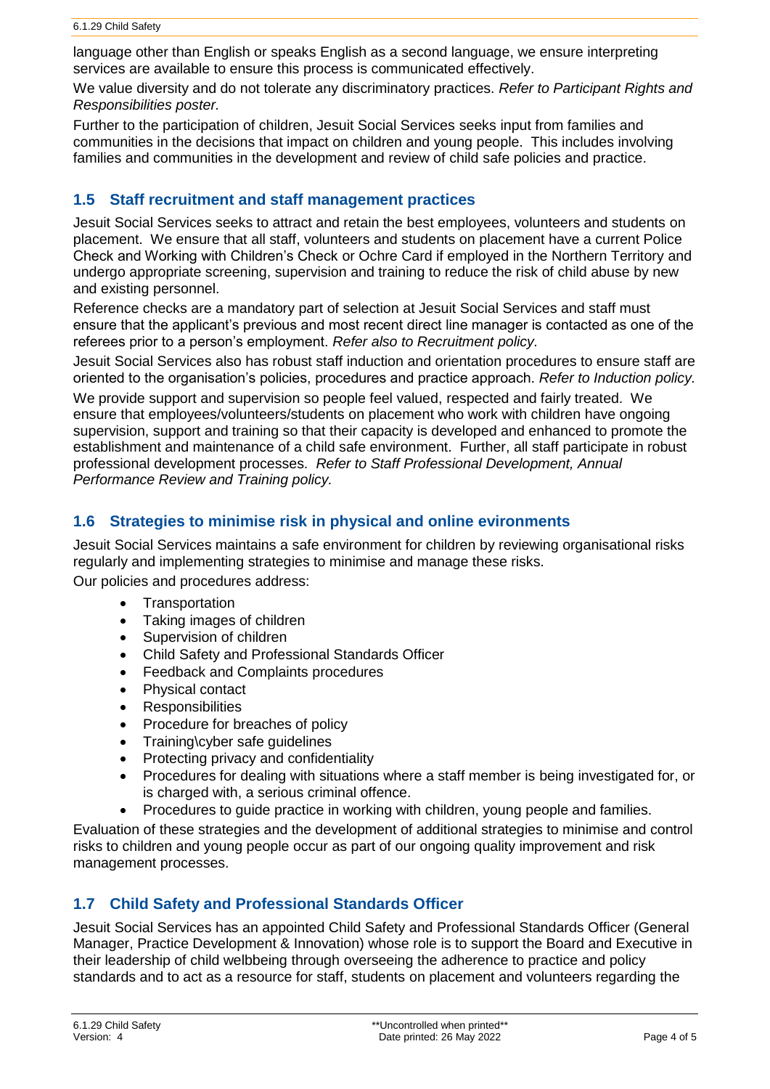language other than English or speaks English as a second language, we ensure interpreting services are available to ensure this process is communicated effectively.

We value diversity and do not tolerate any discriminatory practices. *Refer to Participant Rights and Responsibilities poster.*

Further to the participation of children, Jesuit Social Services seeks input from families and communities in the decisions that impact on children and young people. This includes involving families and communities in the development and review of child safe policies and practice.

### **1.5 Staff recruitment and staff management practices**

Jesuit Social Services seeks to attract and retain the best employees, volunteers and students on placement. We ensure that all staff, volunteers and students on placement have a current Police Check and Working with Children's Check or Ochre Card if employed in the Northern Territory and undergo appropriate screening, supervision and training to reduce the risk of child abuse by new and existing personnel.

Reference checks are a mandatory part of selection at Jesuit Social Services and staff must ensure that the applicant's previous and most recent direct line manager is contacted as one of the referees prior to a person's employment. *Refer also to Recruitment policy.*

Jesuit Social Services also has robust staff induction and orientation procedures to ensure staff are oriented to the organisation's policies, procedures and practice approach. *Refer to Induction policy.*

We provide support and supervision so people feel valued, respected and fairly treated. We ensure that employees/volunteers/students on placement who work with children have ongoing supervision, support and training so that their capacity is developed and enhanced to promote the establishment and maintenance of a child safe environment. Further, all staff participate in robust professional development processes. *Refer to Staff Professional Development, Annual Performance Review and Training policy.*

# **1.6 Strategies to minimise risk in physical and online evironments**

Jesuit Social Services maintains a safe environment for children by reviewing organisational risks regularly and implementing strategies to minimise and manage these risks.

Our policies and procedures address:

- Transportation
- Taking images of children
- Supervision of children
- Child Safety and Professional Standards Officer
- Feedback and Complaints procedures
- Physical contact
- Responsibilities
- Procedure for breaches of policy
- Training\cyber safe guidelines
- Protecting privacy and confidentiality
- Procedures for dealing with situations where a staff member is being investigated for, or is charged with, a serious criminal offence.
- Procedures to guide practice in working with children, young people and families.

Evaluation of these strategies and the development of additional strategies to minimise and control risks to children and young people occur as part of our ongoing quality improvement and risk management processes.

# **1.7 Child Safety and Professional Standards Officer**

Jesuit Social Services has an appointed Child Safety and Professional Standards Officer (General Manager, Practice Development & Innovation) whose role is to support the Board and Executive in their leadership of child welbbeing through overseeing the adherence to practice and policy standards and to act as a resource for staff, students on placement and volunteers regarding the